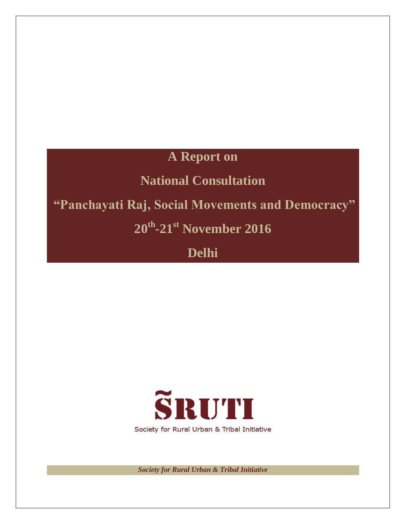# **A Report on**

# **National Consultation**

# **"Panchayati Raj, Social Movements and Democracy"**

**20th -21st November 2016**

**Delhi**



*Society for Rural Urban & Tribal Initiative*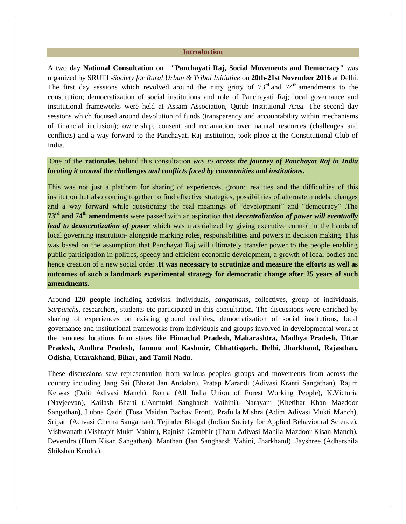#### **Introduction**

A two day **National Consultation** on **"Panchayati Raj, Social Movements and Democracy"** was organized by SRUTI -*Society for Rural Urban & Tribal Initiative* on **20th-21st November 2016** at Delhi. The first day sessions which revolved around the nitty gritty of  $73<sup>rd</sup>$  and  $74<sup>th</sup>$  amendments to the constitution; democratization of social institutions and role of Panchayati Raj; local governance and institutional frameworks were held at Assam Association, Qutub Instituional Area. The second day sessions which focused around devolution of funds (transparency and accountability within mechanisms of financial inclusion); ownership, consent and reclamation over natural resources (challenges and conflicts) and a way forward to the Panchayati Raj institution, took place at the Constitutional Club of India.

# One of the **rationales** behind this consultation *was to access the journey of Panchayat Raj in India locating it around the challenges and conflicts faced by communities and institutions***.**

This was not just a platform for sharing of experiences, ground realities and the difficulties of this institution but also coming together to find effective strategies, possibilities of alternate models, changes and a way forward while questioning the real meanings of "development" and "democracy" .The **73rd and 74th amendments** were passed with an aspiration that *decentralization of power will eventually lead to democratization of power* which was materialized by giving executive control in the hands of local governing institution- alongside marking roles, responsibilities and powers in decision making. This was based on the assumption that Panchayat Raj will ultimately transfer power to the people enabling public participation in politics, speedy and efficient economic development, a growth of local bodies and hence creation of a new social order .**It was necessary to scrutinize and measure the efforts as well as outcomes of such a landmark experimental strategy for democratic change after 25 years of such amendments.**

Around **120 people** including activists, individuals, *sangathans,* collectives, group of individuals, *Sarpanchs,* researchers, students etc participated in this consultation. The discussions were enriched by sharing of experiences on existing ground realities, democratization of social institutions, local governance and institutional frameworks from individuals and groups involved in developmental work at the remotest locations from states like **Himachal Pradesh, Maharashtra, Madhya Pradesh, Uttar Pradesh, Andhra Pradesh, Jammu and Kashmir, Chhattisgarh, Delhi, Jharkhand, Rajasthan, Odisha, Uttarakhand, Bihar, and Tamil Nadu.**

These discussions saw representation from various peoples groups and movements from across the country including Jang Sai (Bharat Jan Andolan), Pratap Marandi (Adivasi Kranti Sangathan), Rajim Ketwas (Dalit Adivasi Manch), Roma (All India Union of Forest Working People), K.Victoria (Navjeevan), Kailash Bharti (JAnmukti Sangharsh Vaihini), Narayani (Khetihar Khan Mazdoor Sangathan), Lubna Qadri (Tosa Maidan Bachav Front), Prafulla Mishra (Adim Adivasi Mukti Manch), Sripati (Adivasi Chetna Sangathan), Tejinder Bhogal (Indian Society for Applied Behavioural Science), Vishwanath (Vishtapit Mukti Vahini), Rajnish Gambhir (Tharu Adivasi Mahila Mazdoor Kisan Manch), Devendra (Hum Kisan Sangathan), Manthan (Jan Sangharsh Vahini, Jharkhand), Jayshree (Adharshila Shikshan Kendra).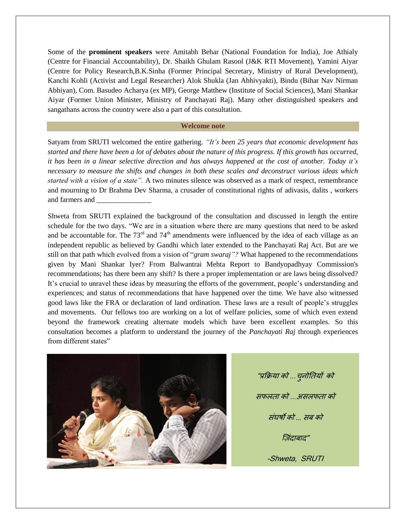Some of the **prominent speakers** were Amitabh Behar (National Foundation for India), Joe Athialy (Centre for Financial Accountability), Dr. Shaikh Ghulam Rasool (J&K RTI Movement), Yamini Aiyar (Centre for Policy Research,B.K.Sinha (Former Principal Secretary, Ministry of Rural Development), Kanchi Kohli (Activist and Legal Researcher) Alok Shukla (Jan Abhivyakti), Bindu (Bihar Nav Nirman Abhiyan), Com. Basudeo Acharya (ex MP), George Matthew (Institute of Social Sciences), Mani Shankar Aiyar (Former Union Minister, Ministry of Panchayati Raj). Many other distinguished speakers and sangathans across the country were also a part of this consultation.

#### **Welcome note**

Satyam from SRUTI welcomed the entire gathering*. "It's been 25 years that economic development has started and there have been a lot of debates about the nature of this progress. If this growth has occurred, it has been in a linear selective direction and has always happened at the cost of another. Today it's necessary to measure the shifts and changes in both these scales and deconstruct various ideas which started with a vision of a state"*. A two minutes silence was observed as a mark of respect, remembrance and mourning to Dr Brahma Dev Sharma, a crusader of constitutional rights of adivasis, dalits , workers and farmers and

Shweta from SRUTI explained the background of the consultation and discussed in length the entire schedule for the two days. "We are in a situation where there are many questions that need to be asked and be accountable for. The  $73<sup>rd</sup>$  and  $74<sup>th</sup>$  amendments were influenced by the idea of each village as an independent republic as believed by Gandhi which later extended to the Panchayati Raj Act. But are we still on that path which evolved from a vision of "*gram swaraj"?* What happened to the recommendations given by Mani Shankar Iyer? From Balwantrai Mehta Report to [Bandyopadhyay Commission's](https://www.mainstreamweekly.net/article1547.html) recommendations; has there been any shift? Is there a proper implementation or are laws being dissolved? It's crucial to unravel these ideas by measuring the efforts of the government, people's understanding and experiences; and status of recommendations that have happened over the time. We have also witnessed good laws like the FRA or declaration of land ordination. These laws are a result of people"s struggles and movements. Our fellows too are working on a lot of welfare policies, some of which even extend beyond the framework creating alternate models which have been excellent examples. So this consultation becomes a platform to understand the journey of the *Panchayati Raj* through experiences from different states"



"प्रक्रिमा को *…*चुनोतिमोंको सपरिा को *…*असरपिा को संघर्षो को *...* सफ को जिंदाबाद" -Shweta, SRUTI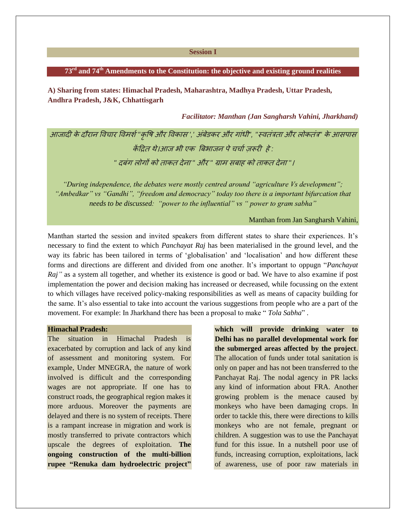#### **Session I**

#### **73rd and 74th Amendments to the Constitution: the objective and existing ground realities**

**A) Sharing from states: Himachal Pradesh, Maharashtra, Madhya Pradesh, Uttar Pradesh, Andhra Pradesh, J&K, Chhattisgarh** 

*Facilitator: Manthan (Jan Sangharsh Vahini, Jharkhand)*

आजादी के दौयान विचाय विभर्श*"*कृवर्ष औय विकास *','* अफं ेडकय औय गांधी*", "*स्ििंत्रिा औय रोकिंत्र*"* के आसऩास केंद्रिि थे।आज बी एक बफबाजन ऩेचचाश रूयीहे*: "* दफंग रोगों को िाकि देना *"* औय *"* ग्राभ सफाह को िाकि देना *"*।

*"During independence, the debates were mostly centred around "agriculture Vs development"; "Ambedkar" vs "Gandhi", "freedom and democracy" today too there is a important bifurcation that needs to be discussed: "power to the influential" vs " power to gram sabha"*

#### Manthan from Jan Sangharsh Vahini,

Manthan started the session and invited speakers from different states to share their experiences. It"s necessary to find the extent to which *Panchayat Raj* has been materialised in the ground level, and the way its fabric has been tailored in terms of "globalisation" and "localisation" and how different these forms and directions are different and divided from one another. It"s important to oppugn "*Panchayat Raj*" as a system all together, and whether its existence is good or bad. We have to also examine if post implementation the power and decision making has increased or decreased, while focussing on the extent to which villages have received policy-making responsibilities as well as means of capacity building for the same. It"s also essential to take into account the various suggestions from people who are a part of the movement. For example: In Jharkhand there has been a proposal to make " *Tola Sabha*" .

#### **Himachal Pradesh:**

The situation in Himachal Pradesh is exacerbated by corruption and lack of any kind of assessment and monitoring system. For example, Under MNEGRA, the nature of work involved is difficult and the corresponding wages are not appropriate. If one has to construct roads, the geographical region makes it more arduous. Moreover the payments are delayed and there is no system of receipts. There is a rampant increase in migration and work is mostly transferred to private contractors which upscale the degrees of exploitation. **The ongoing construction of the multi-billion rupee "Renuka dam hydroelectric project"**

**which will provide drinking water to Delhi has no parallel developmental work for the submerged areas affected by the project**. The allocation of funds under total sanitation is only on paper and has not been transferred to the Panchayat Raj. The nodal agency in PR lacks any kind of information about FRA. Another growing problem is the menace caused by monkeys who have been damaging crops. In order to tackle this, there were directions to kills monkeys who are not female, pregnant or children. A suggestion was to use the Panchayat fund for this issue. In a nutshell poor use of funds, increasing corruption, exploitations, lack of awareness, use of poor raw materials in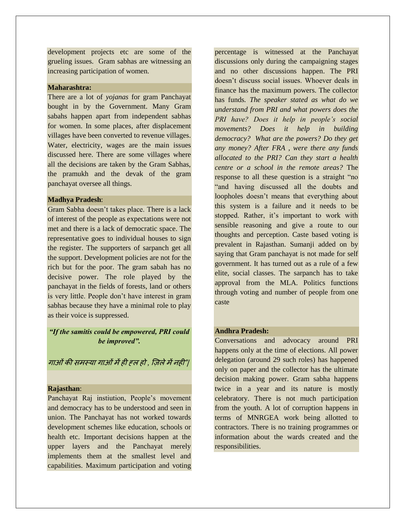development projects etc are some of the grueling issues. Gram sabhas are witnessing an increasing participation of women.

# **Maharashtra:**

There are a lot of *yojanas* for gram Panchayat bought in by the Government. Many Gram sabahs happen apart from independent sabhas for women. In some places, after displacement villages have been converted to revenue villages. Water, electricity, wages are the main issues discussed here. There are some villages where all the decisions are taken by the Gram Sabhas, the pramukh and the devak of the gram panchayat oversee all things.

#### **Madhya Pradesh**:

Gram Sabha doesn"t takes place. There is a lack of interest of the people as expectations were not met and there is a lack of democratic space. The representative goes to individual houses to sign the register. The supporters of sarpanch get all the support. Development policies are not for the rich but for the poor. The gram sabah has no decisive power. The role played by the panchayat in the fields of forests, land or others is very little. People don"t have interest in gram sabhas because they have a minimal role to play as their voice is suppressed.

# *"If the samitis could be empowered, PRI could be improved".*

गाओंकी सभस्मा गाओंभेंही ह्र हो *,* ज रेभेंनही"|

#### **Rajasthan**:

Panchayat Raj instiution, People"s movement and democracy has to be understood and seen in union. The Panchayat has not worked towards development schemes like education, schools or health etc. Important decisions happen at the upper layers and the Panchayat merely implements them at the smallest level and capabilities. Maximum participation and voting

percentage is witnessed at the Panchayat discussions only during the campaigning stages and no other discussions happen. The PRI doesn"t discuss social issues. Whoever deals in finance has the maximum powers. The collector has funds*. The speaker stated as what do we understand from PRI and what powers does the PRI have? Does it help in people's social movements? Does it help in building democracy? What are the powers? Do they get any money? After FRA , were there any funds allocated to the PRI? Can they start a health centre or a school in the remote areas?* The response to all these question is a straight "no "and having discussed all the doubts and loopholes doesn"t means that everything about this system is a failure and it needs to be stopped. Rather, it's important to work with sensible reasoning and give a route to our thoughts and perception. Caste based voting is prevalent in Rajasthan. Sumanji added on by saying that Gram panchayat is not made for self government. It has turned out as a rule of a few elite, social classes. The sarpanch has to take approval from the MLA. Politics functions through voting and number of people from one caste

# **Andhra Pradesh:**

Conversations and advocacy around PRI happens only at the time of elections. All power delegation (around 29 such roles) has happened only on paper and the collector has the ultimate decision making power. Gram sabha happens twice in a year and its nature is mostly celebratory. There is not much participation from the youth. A lot of corruption happens in terms of MNRGEA work being allotted to contractors. There is no training programmes or information about the wards created and the responsibilities.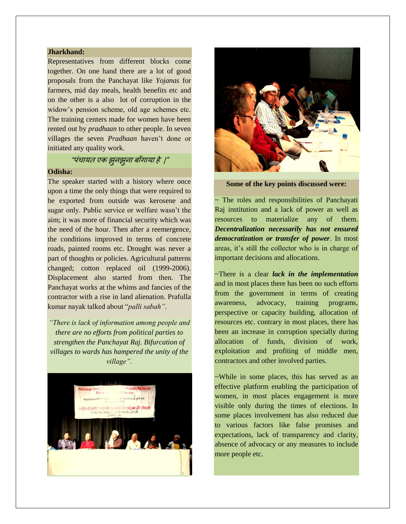#### **Jharkhand:**

Representatives from different blocks come together. On one hand there are a lot of good proposals from the Panchayat like *Yojanas* for farmers, mid day meals, health benefits etc and on the other is a also lot of corruption in the widow"s pension scheme, old age schemes etc. The training centers made for women have been rented out by *pradhaan* to other people. In seven villages the seven *Pradhaan* haven't done or initiated any quality work.

# "ऩंचामि एक झुनझुना फााँगामा हे |"

#### **Odisha:**

The speaker started with a history where once upon a time the only things that were required to be exported from outside was kerosene and sugar only. Public service or welfare wasn"t the aim; it was more of financial security which was the need of the hour. Then after a reemergence, the conditions improved in terms of concrete roads, painted rooms etc. Drought was never a part of thoughts or policies. Agricultural patterns changed; cotton replaced oil (1999-2006). Displacement also started from then. The Panchayat works at the whims and fancies of the contractor with a rise in land alienation. Prafulla kumar nayak talked about "*palli sabah".* 

*"There is lack of information among people and there are no efforts from political parties to strengthen the Panchayat Raj. Bifurcation of villages to wards has hampered the unity of the village".*





**Some of the key points discussed were:**

~ The roles and responsibilities of Panchayati Raj institution and a lack of power as well as resources to materialize any of them. *Decentralization necessarily has not ensured democratization or transfer of power*. In most areas, it's still the collector who is in charge of important decisions and allocations.

~There is a clear *lack in the implementation* and in most places there has been no such efforts from the government in terms of creating awareness, advocacy, training programs, perspective or capacity building, allocation of resources etc. contrary in most places, there has been an increase in corruption specially during allocation of funds, division of work, exploitation and profiting of middle men, contractors and other involved parties.

~While in some places, this has served as an effective platform enabling the participation of women, in most places engagement is more visible only during the times of elections. In some places involvement has also reduced due to various factors like false promises and expectations, lack of transparency and clarity, absence of advocacy or any measures to include more people etc.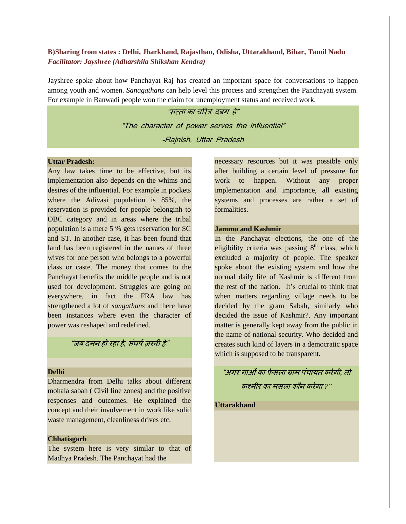# **B)Sharing from states : Delhi, Jharkhand, Rajasthan, Odisha, Uttarakhand, Bihar, Tamil Nadu** *Facilitator: Jayshree (Adharshila Shikshan Kendra)*

Jayshree spoke about how Panchayat Raj has created an important space for conversations to happen among youth and women. *Sanagathans* can help level this process and strengthen the Panchayati system. For example in Banwadi people won the claim for unemployment status and received work.

> "सत्ता का चरित्र दबंग हे" "The character of power serves the influential" **-**Rajnish, Uttar Pradesh

#### **Uttar Pradesh:**

Any law takes time to be effective, but its implementation also depends on the whims and desires of the influential. For example in pockets where the Adivasi population is 85%, the reservation is provided for people belonginh to OBC category and in areas where the tribal population is a mere 5 % gets reservation for SC and ST. In another case, it has been found that land has been registered in the names of three wives for one person who belongs to a powerful class or caste. The money that comes to the Panchayat benefits the middle people and is not used for development. Struggles are going on everywhere, in fact the FRA law has strengthened a lot of *sangathans* and there have been instances where even the character of power was reshaped and redefined.

"जब दमन हो रहा हे, संघर्ष जरूरी हे"

# **Delhi**

Dharmendra from Delhi talks about different mohala sabah ( Civil line zones) and the positive responses and outcomes. He explained the concept and their involvement in work like solid waste management, cleanliness drives etc.

#### **Chhatisgarh**

The system here is very similar to that of Madhya Pradesh. The Panchayat had the

necessary resources but it was possible only after building a certain level of pressure for work to happen. Without any proper implementation and importance, all existing systems and processes are rather a set of formalities.

#### **Jammu and Kashmir**

In the Panchayat elections, the one of the eligibility criteria was passing  $8<sup>th</sup>$  class, which excluded a majority of people. The speaker spoke about the existing system and how the normal daily life of Kashmir is different from the rest of the nation. It's crucial to think that when matters regarding village needs to be decided by the gram Sabah, similarly who decided the issue of Kashmir?. Any important matter is generally kept away from the public in the name of national security. Who decided and creates such kind of layers in a democratic space which is supposed to be transparent.

# "अगय गाओंका पेसरा ग्राभ ऩंचामि कयेगी*,* िो कश्भीय का भसरा कौन कयेगा *?"*

**Uttarakhand**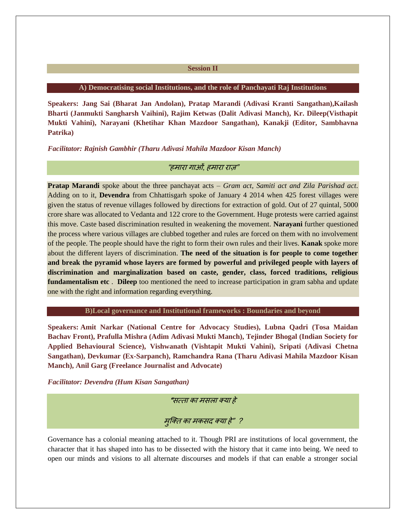#### **Session II**

#### **A) Democratising social Institutions, and the role of Panchayati Raj Institutions**

**Speakers: Jang Sai (Bharat Jan Andolan), Pratap Marandi (Adivasi Kranti Sangathan),Kailash Bharti (Janmukti Sangharsh Vaihini), Rajim Ketwas (Dalit Adivasi Manch), Kr. Dileep(Visthapit Mukti Vahini), Narayani (Khetihar Khan Mazdoor Sangathan), Kanakji (Editor, Sambhavna Patrika)**

*Facilitator: Rajnish Gambhir (Tharu Adivasi Mahila Mazdoor Kisan Manch)*

# "हमारा गाओं, हमारा राज़"

**Pratap Marandi** spoke about the three panchayat acts – *Gram act, Samiti act and Zila Parishad act*. Adding on to it, **Devendra** from Chhattisgarh spoke of January 4 2014 when 425 forest villages were given the status of revenue villages followed by directions for extraction of gold. Out of 27 quintal, 5000 crore share was allocated to Vedanta and 122 crore to the Government. Huge protests were carried against this move. Caste based discrimination resulted in weakening the movement. **Narayani** further questioned the process where various villages are clubbed together and rules are forced on them with no involvement of the people. The people should have the right to form their own rules and their lives. **Kanak** spoke more about the different layers of discrimination. **The need of the situation is for people to come together and break the pyramid whose layers are formed by powerful and privileged people with layers of discrimination and marginalization based on caste, gender, class, forced traditions, religious fundamentalism etc** . **Dileep** too mentioned the need to increase participation in gram sabha and update one with the right and information regarding everything.

#### **B)Local governance and Institutional frameworks : Boundaries and beyond**

**Speakers: Amit Narkar (National Centre for Advocacy Studies), Lubna Qadri (Tosa Maidan Bachav Front), Prafulla Mishra (Adim Adivasi Mukti Manch), Tejinder Bhogal (Indian Society for Applied Behavioural Science), Vishwanath (Vishtapit Mukti Vahini), Sripati (Adivasi Chetna Sangathan), Devkumar (Ex-Sarpanch), Ramchandra Rana (Tharu Adivasi Mahila Mazdoor Kisan Manch), Anil Garg (Freelance Journalist and Advocate)**

*Facilitator: Devendra (Hum Kisan Sangathan)*

**"**सत्ता का मसला क्या हे

मुक्ति का मकसद क्या हे" ?

Governance has a colonial meaning attached to it. Though PRI are institutions of local government, the character that it has shaped into has to be dissected with the history that it came into being. We need to open our minds and visions to all alternate discourses and models if that can enable a stronger social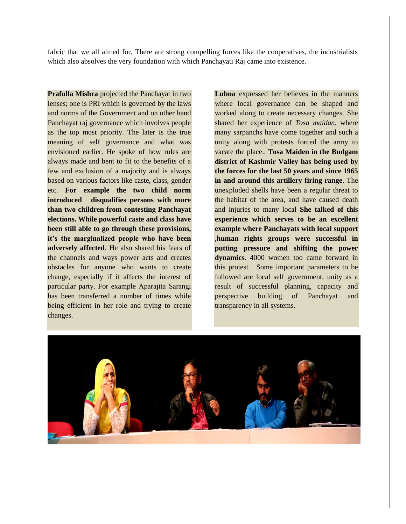fabric that we all aimed for. There are strong compelling forces like the cooperatives, the industrialists which also absolves the very foundation with which Panchayati Raj came into existence.

**Prafulla Mishra** projected the Panchayat in two lenses; one is PRI which is governed by the laws and norms of the Government and on other hand Panchayat raj governance which involves people as the top most priority. The later is the true meaning of self governance and what was envisioned earlier. He spoke of how rules are always made and bent to fit to the benefits of a few and exclusion of a majority and is always based on various factors like caste, class, gender etc. **For example the two child norm introduced disqualifies persons with more than two children from contesting Panchayat elections. While powerful caste and class have been still able to go through these provisions, it's the marginalized people who have been adversely affected**. He also shared his fears of the channels and ways power acts and creates obstacles for anyone who wants to create change, especially if it affects the interest of particular party. For example Aparajita Sarangi has been transferred a number of times while being efficient in her role and trying to create changes.

**Lubna** expressed her believes in the manners where local governance can be shaped and worked along to create necessary changes. She shared her experience of *Tosa maidan*, where many sarpanchs have come together and such a unity along with protests forced the army to vacate the place.. **Tosa Maiden in the Budgam district of Kashmir Valley has being used by the forces for the last 50 years and since 1965 in and around this artillery firing range**. The unexploded shells have been a regular threat to the habitat of the area, and have caused death and injuries to many local **She talked of this experience which serves to be an excellent example where Panchayats with local support ,human rights groups were successful in putting pressure and shifting the power dynamics**. 4000 women too came forward in this protest. Some important parameters to be followed are local self government, unity as a result of successful planning, capacity and perspective building of Panchayat and transparency in all systems.

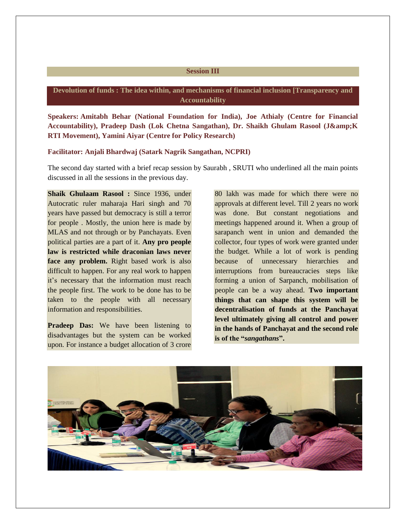#### **Session III**

# **Devolution of funds : The idea within, and mechanisms of financial inclusion [Transparency and Accountability**

**Speakers: Amitabh Behar (National Foundation for India), Joe Athialy (Centre for Financial** Accountability), Pradeep Dash (Lok Chetna Sangathan), Dr. Shaikh Ghulam Rasool (J&K **RTI Movement), Yamini Aiyar (Centre for Policy Research)**

#### **Facilitator: Anjali Bhardwaj (Satark Nagrik Sangathan, NCPRI)**

The second day started with a brief recap session by Saurabh , SRUTI who underlined all the main points discussed in all the sessions in the previous day.

**Shaik Ghulaam Rasool :** Since 1936, under Autocratic ruler maharaja Hari singh and 70 years have passed but democracy is still a terror for people . Mostly, the union here is made by MLAS and not through or by Panchayats. Even political parties are a part of it. **Any pro people law is restricted while draconian laws never face any problem.** Right based work is also difficult to happen. For any real work to happen it's necessary that the information must reach the people first. The work to be done has to be taken to the people with all necessary information and responsibilities.

**Pradeep Das:** We have been listening to disadvantages but the system can be worked upon. For instance a budget allocation of 3 crore

80 lakh was made for which there were no approvals at different level. Till 2 years no work was done. But constant negotiations and meetings happened around it. When a group of sarapanch went in union and demanded the collector, four types of work were granted under the budget. While a lot of work is pending because of unnecessary hierarchies and interruptions from bureaucracies steps like forming a union of Sarpanch, mobilisation of people can be a way ahead. **Two important things that can shape this system will be decentralisation of funds at the Panchayat level ultimately giving all control and power in the hands of Panchayat and the second role is of the "***sangathans***".**

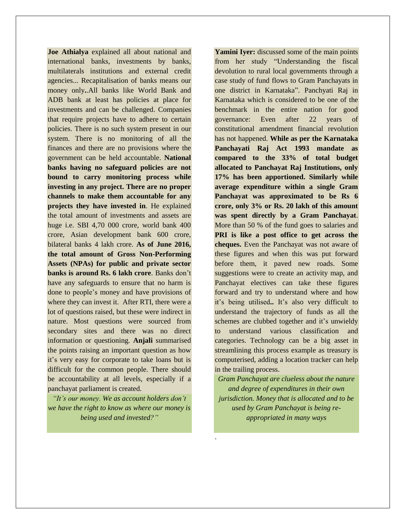**Joe Athialya** explained all about national and international banks, investments by banks, multilaterals institutions and external credit agencies... Recapitalisation of banks means our money only**.**.All banks like World Bank and ADB bank at least has policies at place for investments and can be challenged. Companies that require projects have to adhere to certain policies. There is no such system present in our system. There is no monitoring of all the finances and there are no provisions where the government can be held accountable. **National banks having no safeguard policies are not bound to carry monitoring process while investing in any project. There are no proper channels to make them accountable for any projects they have invested in**. He explained the total amount of investments and assets are huge i.e. SBI 4,70 000 crore, world bank 400 crore, Asian development bank 600 crore, bilateral banks 4 lakh crore. **As of June 2016, the total amount of Gross Non-Performing Assets (NPAs) for public and private sector banks is around Rs. 6 lakh crore**. Banks don"t have any safeguards to ensure that no harm is done to people"s money and have provisions of where they can invest it. After RTI, there were a lot of questions raised, but these were indirect in nature. Most questions were sourced from secondary sites and there was no direct information or questioning. **Anjali** summarised the points raising an important question as how it"s very easy for corporate to take loans but is difficult for the common people. There should be accountability at all levels, especially if a panchayat parliament is created.

*"It's our money. We as account holders don't we have the right to know as where our money is being used and invested?"*

**Yamini Iyer:** discussed some of the main points from her study "Understanding the fiscal devolution to rural local governments through a case study of fund flows to Gram Panchayats in one district in Karnataka". Panchyati Raj in Karnataka which is considered to be one of the benchmark in the entire nation for good governance: Even after 22 years of constitutional amendment financial revolution has not happened. **While as per the Karnataka Panchayati Raj Act 1993 mandate as compared to the 33% of total budget allocated to Panchayat Raj Institutions, only 17% has been apportioned. Similarly while average expenditure within a single Gram Panchayat was approximated to be Rs 6 crore, only 3% or Rs. 20 lakh of this amount was spent directly by a Gram Panchayat**. More than 50 % of the fund goes to salaries and **PRI is like a post office to get across the cheques.** Even the Panchayat was not aware of these figures and when this was put forward before them, it paved new roads. Some suggestions were to create an activity map, and Panchayat electives can take these figures forward and try to understand where and how it's being utilised.. It's also very difficult to understand the trajectory of funds as all the schemes are clubbed together and it's unwieldy to understand various classification and categories. Technology can be a big asset in streamlining this process example as treasury is computerised, adding a location tracker can help in the trailing process.

*Gram Panchayat are clueless about the nature and degree of expenditures in their own jurisdiction. Money that is allocated and to be used by Gram Panchayat is being reappropriated in many ways*

.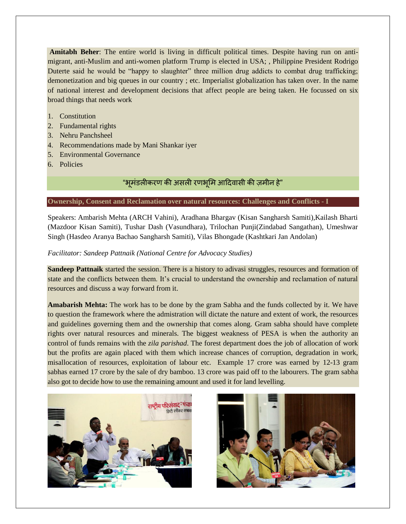**Amitabh Beher**: The entire world is living in difficult political times. Despite having run on antimigrant, anti-Muslim and anti-women platform Trump is elected in USA; , Philippine President Rodrigo Duterte said he would be "happy to slaughter" three million drug addicts to combat drug trafficking; demonetization and big queues in our country ; etc. Imperialist globalization has taken over. In the name of national interest and development decisions that affect people are being taken. He focussed on six broad things that needs work

- 1. Constitution
- 2. Fundamental rights
- 3. Nehru Panchsheel
- 4. Recommendations made by Mani Shankar iyer
- 5. Environmental Governance
- 6. Policies

# "भूमंडलीकरण की असली रणभूमि आदिवासी की ज़मीन हे"

#### **Ownership, Consent and Reclamation over natural resources: Challenges and Conflicts - I**

Speakers: Ambarish Mehta (ARCH Vahini), Aradhana Bhargav (Kisan Sangharsh Samiti),Kailash Bharti (Mazdoor Kisan Samiti), Tushar Dash (Vasundhara), Trilochan Punji(Zindabad Sangathan), Umeshwar Singh (Hasdeo Aranya Bachao Sangharsh Samiti), Vilas Bhongade (Kashtkari Jan Andolan)

# *Facilitator: Sandeep Pattnaik (National Centre for Advocacy Studies)*

**Sandeep Pattnaik** started the session. There is a history to adivasi struggles, resources and formation of state and the conflicts between them. It"s crucial to understand the ownership and reclamation of natural resources and discuss a way forward from it.

**Amabarish Mehta:** The work has to be done by the gram Sabha and the funds collected by it. We have to question the framework where the admistration will dictate the nature and extent of work, the resources and guidelines governing them and the ownership that comes along. Gram sabha should have complete rights over natural resources and minerals. The biggest weakness of PESA is when the authority an control of funds remains with the *zila parishad*. The forest department does the job of allocation of work but the profits are again placed with them which increase chances of corruption, degradation in work, misallocation of resources, exploitation of labour etc. Example 17 crore was earned by 12-13 gram sabhas earned 17 crore by the sale of dry bamboo. 13 crore was paid off to the labourers. The gram sabha also got to decide how to use the remaining amount and used it for land levelling.



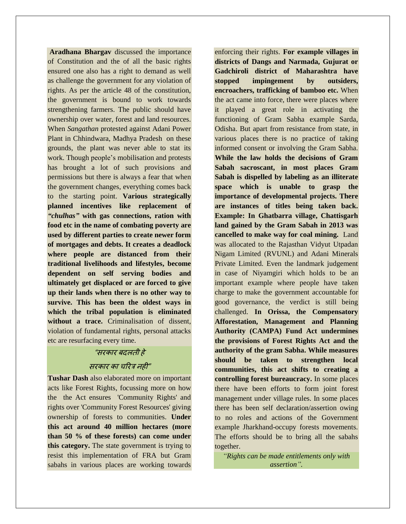**Aradhana Bhargav** discussed the importance of Constitution and the of all the basic rights ensured one also has a right to demand as well as challenge the government for any violation of rights. As per the article 48 of the constitution, the government is bound to work towards strengthening farmers. The public should have ownership over water, forest and land resources. When *Sangathan* protested against Adani Power Plant in Chhindwara, Madhya Pradesh on these grounds, the plant was never able to stat its work. Though people's mobilisation and protests has brought a lot of such provisions and permissions but there is always a fear that when the government changes, everything comes back to the starting point. **Various strategically planned incentives like replacement of** *"chulhas"* **with gas connections, ration with food etc in the name of combating poverty are used by different parties to create newer form of mortgages and debts. It creates a deadlock where people are distanced from their traditional livelihoods and lifestyles, become dependent on self serving bodies and ultimately get displaced or are forced to give up their lands when there is no other way to survive. This has been the oldest ways in which the tribal population is eliminated without a trace.** Criminalisation of dissent, violation of fundamental rights, personal attacks etc are resurfacing every time.

# "सयकाय फदरिी हे

#### सरकार का चरित्र नहीं"

**Tushar Dash** also elaborated more on important acts like Forest Rights, focussing more on how the the Act ensures 'Community Rights' and rights over 'Community Forest Resources' giving ownership of forests to communities. **Under this act around 40 million hectares (more than 50 % of these forests) can come under this category.** The state government is trying to resist this implementation of FRA but Gram sabahs in various places are working towards

enforcing their rights. **For example villages in districts of Dangs and Narmada, Gujurat or Gadchiroli district of Maharashtra have stopped impingement by outsiders, encroachers, trafficking of bamboo etc.** When the act came into force, there were places where it played a great role in activating the functioning of Gram Sabha example Sarda, Odisha. But apart from resistance from state, in various places there is no practice of taking informed consent or involving the Gram Sabha. **While the law holds the decisions of Gram Sabah sacroscant, in most places Gram Sabah is dispelled by labeling as an illiterate space which is unable to grasp the importance of developmental projects. There are instances of titles being taken back. Example: In Ghatbarra village, Chattisgarh land gained by the Gram Sabah in 2013 was cancelled to make way for coal mining.** Land was allocated to the Rajasthan Vidyut Utpadan Nigam Limited (RVUNL) and Adani Minerals Private Limited. Even the landmark judgement in case of Niyamgiri which holds to be an important example where people have taken charge to make the government accountable for good governance, the verdict is still being challenged. **In Orissa, the Compensatory Afforestation, Management and Planning Authority (CAMPA) Fund Act undermines the provisions of Forest Rights Act and the authority of the gram Sabha. While measures should be taken to strengthen local communities, this act shifts to creating a controlling forest bureaucracy.** In some places there have been efforts to form joint forest management under village rules. In some places there has been self declaration/assertion owing to no roles and actions of the Government example Jharkhand-occupy forests movements. The efforts should be to bring all the sabahs together.

*"Rights can be made entitlements only with assertion".*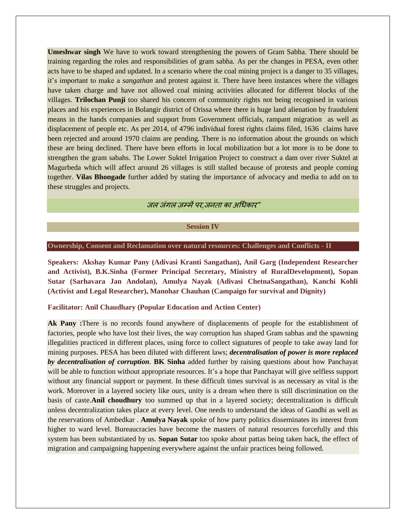**Umeshwar singh** We have to work toward strengthening the powers of Gram Sabha. There should be training regarding the roles and responsibilities of gram sabha. As per the changes in PESA, even other acts have to be shaped and updated. In a scenario where the coal mining project is a danger to 35 villages, it"s important to make a *sangathan* and protest against it. There have been instances where the villages have taken charge and have not allowed coal mining activities allocated for different blocks of the villages. **Trilochan Punji** too shared his concern of community rights not being recognised in various places and his experiences in Bolangir district of Orissa where there is huge land alienation by fraudulent means in the hands companies and support from Government officials, rampant migration as well as displacement of people etc. As per 2014, of 4796 individual forest rights claims filed, 1636 claims have been rejected and around 1970 claims are pending. There is no information about the grounds on which these are being declined. There have been efforts in local mobilization but a lot more is to be done to strengthen the gram sabahs. The Lower Suktel Irrigation Project to construct a dam over river Suktel at Magurbeda which will affect around 26 villages is still stalled because of protests and people coming together. **Vilas Bhongade** further added by stating the importance of advocacy and media to add on to these struggles and projects.

*जल जंगल जम्में पर जनता का अधिकार*"

**Session IV**

#### **Ownership, Consent and Reclamation over natural resources: Challenges and Conflicts - II**

**Speakers: Akshay Kumar Pany (Adivasi Kranti Sangathan), Anil Garg (Independent Researcher and Activist), B.K.Sinha (Former Principal Secretary, Ministry of RuralDevelopment), Sopan Sutar (Sarhavara Jan Andolan), Amulya Nayak (Adivasi ChetnaSangathan), Kanchi Kohli (Activist and Legal Researcher), Manohar Chauhan (Campaign for survival and Dignity)**

#### **Facilitator: Anil Chaudhary (Popular Education and Action Center)**

**Ak Pany :**There is no records found anywhere of displacements of people for the establishment of factories, people who have lost their lives, the way corruption has shaped Gram sabhas and the spawning illegalities practiced in different places, using force to collect signatures of people to take away land for mining purposes. PESA has been diluted with different laws; *decentralisation of power is more replaced by decentralisation of corruption*. **BK Sinha** added further by raising questions about how Panchayat will be able to function without appropriate resources. It's a hope that Panchayat will give selfless support without any financial support or payment. In these difficult times survival is as necessary as vital is the work. Moreover in a layered society like ours, unity is a dream when there is still discrimination on the basis of caste.**Anil choudhury** too summed up that in a layered society; decentralization is difficult unless decentralization takes place at every level. One needs to understand the ideas of Gandhi as well as the reservations of Ambedkar . **Amulya Nayak** spoke of how party politics disseminates its interest from higher to ward level. Bureaucracies have become the masters of natural resources forcefully and this system has been substantiated by us. **Sopan Sutar** too spoke about pattas being taken back, the effect of migration and campaigning happening everywhere against the unfair practices being followed.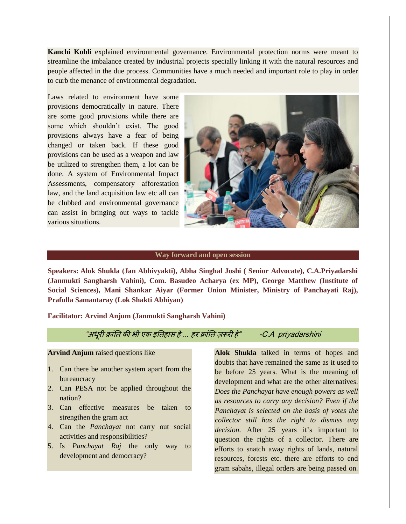**Kanchi Kohli** explained environmental governance. Environmental protection norms were meant to streamline the imbalance created by industrial projects specially linking it with the natural resources and people affected in the due process. Communities have a much needed and important role to play in order to curb the menance of environmental degradation.

Laws related to environment have some provisions democratically in nature. There are some good provisions while there are some which shouldn"t exist. The good provisions always have a fear of being changed or taken back. If these good provisions can be used as a weapon and law be utilized to strengthen them, a lot can be done. A system of Environmental Impact Assessments, compensatory afforestation law, and the land acquisition law etc all can be clubbed and environmental governance can assist in bringing out ways to tackle various situations.



#### **Way forward and open session**

**Speakers: Alok Shukla (Jan Abhivyakti), Abha Singhal Joshi ( Senior Advocate), C.A.Priyadarshi (Janmukti Sangharsh Vahini), Com. Basudeo Acharya (ex MP), George Matthew (Institute of Social Sciences), Mani Shankar Aiyar (Former Union Minister, Ministry of Panchayati Raj), Prafulla Samantaray (Lok Shakti Abhiyan)**

**Facilitator: Arvind Anjum (Janmukti Sangharsh Vahini)**

"अधूयी िांति की बी एक इतिहास हे*…* हय िांति रूयी हे" -C.A priyadarshini

**Arvind Anjum** raised questions like

- 1. Can there be another system apart from the bureaucracy
- 2. Can PESA not be applied throughout the nation?
- 3. Can effective measures be taken to strengthen the gram act
- 4. Can the *Panchayat* not carry out social activities and responsibilities?
- 5. Is *Panchayat Raj* the only way to development and democracy?

**Alok Shukla** talked in terms of hopes and doubts that have remained the same as it used to be before 25 years. What is the meaning of development and what are the other alternatives. *Does the Panchayat have enough powers as well as resources to carry any decision? Even if the Panchayat is selected on the basis of votes the collector still has the right to dismiss any*  decision. After 25 years it's important to question the rights of a collector. There are efforts to snatch away rights of lands, natural resources, forests etc. there are efforts to end gram sabahs, illegal orders are being passed on.